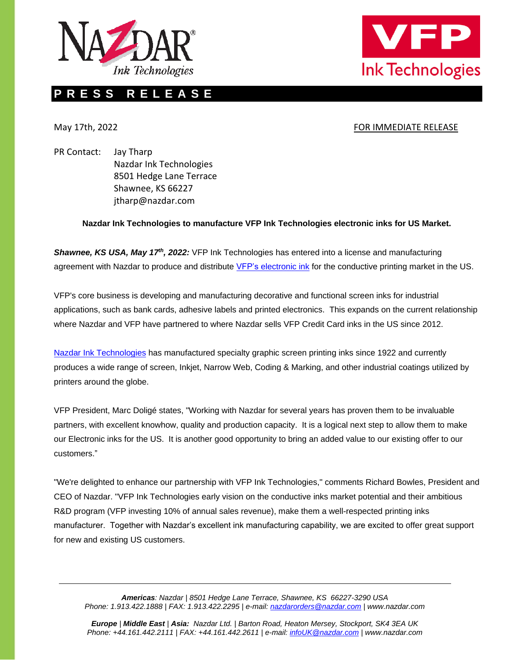



# **P R E S S R E L E A S E**

# May 17th, 2022 **FOR IMMEDIATE RELEASE**

PR Contact: Jay Tharp Nazdar Ink Technologies 8501 Hedge Lane Terrace Shawnee, KS 66227 jtharp@nazdar.com

# **Nazdar Ink Technologies to manufacture VFP Ink Technologies electronic inks for US Market.**

*Shawnee, KS USA, May 17th, 2022:* VFP Ink Technologies has entered into a license and manufacturing agreement with Nazdar to produce and distribute [VFP's electronic ink](https://vfp-ink-technologies.com/products/printed-electronics/) for the conductive printing market in the US.

VFP's core business is developing and manufacturing decorative and functional screen inks for industrial applications, such as bank cards, adhesive labels and printed electronics. This expands on the current relationship where Nazdar and VFP have partnered to where Nazdar sells VFP Credit Card inks in the US since 2012.

Nazdar [Ink Technologies](https://www.nazdar.com/en-us/RESOURCES-About-Us-Company-Overview) has manufactured specialty graphic screen printing inks since 1922 and currently produces a wide range of screen, Inkjet, Narrow Web, Coding & Marking, and other industrial coatings utilized by printers around the globe.

VFP President, Marc Doligé states, "Working with Nazdar for several years has proven them to be invaluable partners, with excellent knowhow, quality and production capacity. It is a logical next step to allow them to make our Electronic inks for the US. It is another good opportunity to bring an added value to our existing offer to our customers."

"We're delighted to enhance our partnership with VFP Ink Technologies," comments Richard Bowles, President and CEO of Nazdar. "VFP Ink Technologies early vision on the conductive inks market potential and their ambitious R&D program (VFP investing 10% of annual sales revenue), make them a well-respected printing inks manufacturer. Together with Nazdar's excellent ink manufacturing capability, we are excited to offer great support for new and existing US customers.

*Americas: Nazdar | 8501 Hedge Lane Terrace, Shawnee, KS 66227-3290 USA Phone: 1.913.422.1888 | FAX: 1.913.422.2295 | e-mail[: nazdarorders@nazdar.com](file://///nazdar.com/sha/marketing/Press%20Releases/NIT%20Press%20Releases/2022/nazdarorders@nazdar.com) | [www.nazdar.com](http://www.gkandz.com/)*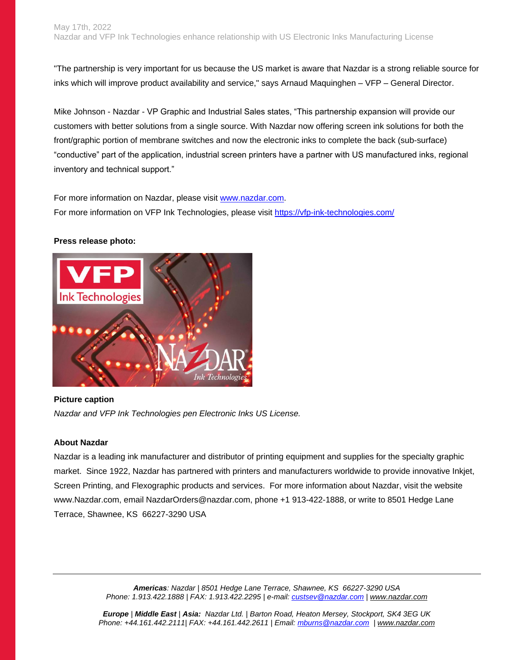"The partnership is very important for us because the US market is aware that Nazdar is a strong reliable source for inks which will improve product availability and service," says Arnaud Maquinghen – VFP – General Director.

Mike Johnson - Nazdar - VP Graphic and Industrial Sales states, "This partnership expansion will provide our customers with better solutions from a single source. With Nazdar now offering screen ink solutions for both the front/graphic portion of membrane switches and now the electronic inks to complete the back (sub-surface) "conductive" part of the application, industrial screen printers have a partner with US manufactured inks, regional inventory and technical support."

For more information on Nazdar, please visit [www.nazdar.com.](http://www.nazdar.com/) For more information on VFP Ink Technologies, please visit<https://vfp-ink-technologies.com/>

#### **Press release photo:**



## **Picture caption**

*Nazdar and VFP Ink Technologies pen Electronic Inks US License.*

## **About Nazdar**

Nazdar is a leading ink manufacturer and distributor of printing equipment and supplies for the specialty graphic market. Since 1922, Nazdar has partnered with printers and manufacturers worldwide to provide innovative Inkjet, Screen Printing, and Flexographic products and services. For more information about Nazdar, visit the website www.Nazdar.com, email NazdarOrders@nazdar.com, phone +1 913-422-1888, or write to 8501 Hedge Lane Terrace, Shawnee, KS 66227-3290 USA

> *Americas: Nazdar | 8501 Hedge Lane Terrace, Shawnee, KS 66227-3290 USA Phone: 1.913.422.1888 | FAX: 1.913.422.2295 | e-mail: [custsev@nazdar.com](mailto:custsev@nazdar.com) | [www.nazdar.com](http://www.gkandz.com/)*

*Europe | Middle East | Asia: Nazdar Ltd. | Barton Road, Heaton Mersey, Stockport, SK4 3EG UK Phone: +44.161.442.2111| FAX: +44.161.442.2611 | Email: [mburns@nazdar.com](mailto:mburns@nazdar.com) | [www.nazdar.com](http://www.gkandz.com/)*